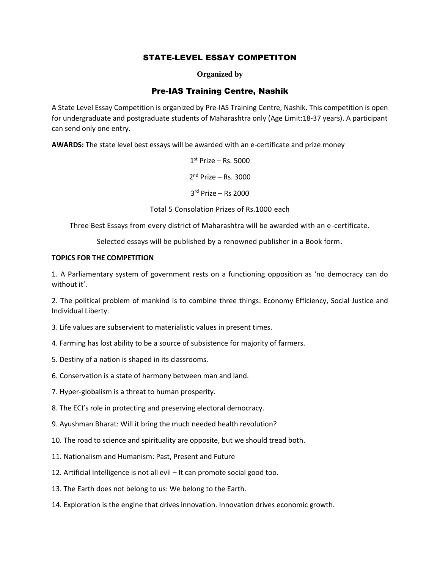# STATE-LEVEL ESSAY COMPETITON

**Organized by**

# Pre-IAS Training Centre, Nashik

A State Level Essay Competition is organized by Pre-IAS Training Centre, Nashik. This competition is open for undergraduate and postgraduate students of Maharashtra only (Age Limit:18-37 years). A participant can send only one entry.

**AWARDS:** The state level best essays will be awarded with an e-certificate and prize money

1 st Prize – Rs. 5000 2 nd Prize – Rs. 3000

3 rd Prize – Rs 2000

Total 5 Consolation Prizes of Rs.1000 each

Three Best Essays from every district of Maharashtra will be awarded with an e-certificate.

Selected essays will be published by a renowned publisher in a Book form.

#### **TOPICS FOR THE COMPETITION**

1. A Parliamentary system of government rests on a functioning opposition as 'no democracy can do without it'.

2. The political problem of mankind is to combine three things: Economy Efficiency, Social Justice and Individual Liberty.

3. Life values are subservient to materialistic values in present times.

- 4. Farming has lost ability to be a source of subsistence for majority of farmers.
- 5. Destiny of a nation is shaped in its classrooms.
- 6. Conservation is a state of harmony between man and land.
- 7. Hyper-globalism is a threat to human prosperity.
- 8. The ECI's role in protecting and preserving electoral democracy.
- 9. Ayushman Bharat: Will it bring the much needed health revolution?
- 10. The road to science and spirituality are opposite, but we should tread both.
- 11. Nationalism and Humanism: Past, Present and Future
- 12. Artificial Intelligence is not all evil It can promote social good too.
- 13. The Earth does not belong to us: We belong to the Earth.
- 14. Exploration is the engine that drives innovation. Innovation drives economic growth.